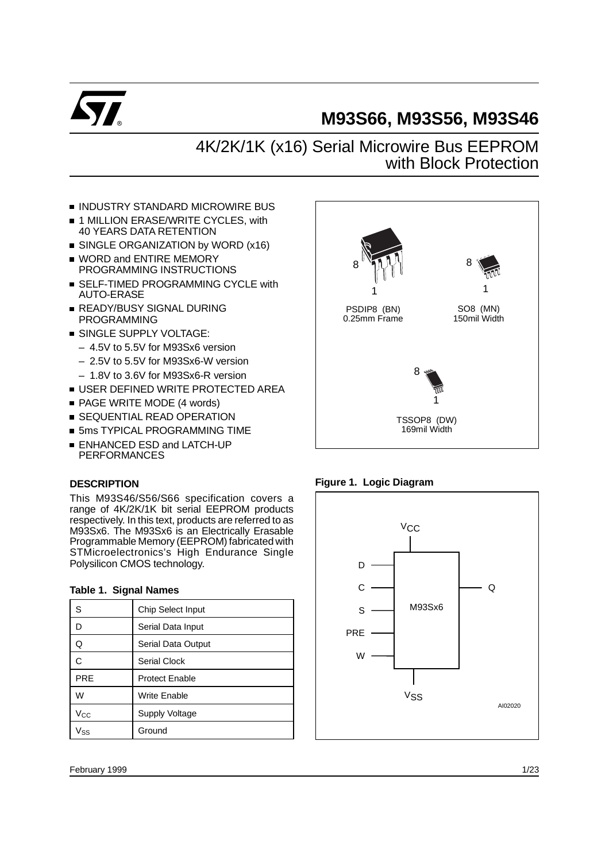

# **M93S66, M93S56, M93S46**

# 4K/2K/1K (x16) Serial Microwire Bus EEPROM with Block Protection

- **INDUSTRY STANDARD MICROWIRE BUS**
- 1 MILLION ERASE/WRITE CYCLES, with 40 YEARS DATA RETENTION
- SINGLE ORGANIZATION by WORD (x16)
- **WORD and ENTIRE MEMORY** PROGRAMMING INSTRUCTIONS
- **SELF-TIMED PROGRAMMING CYCLE with** AUTO-ERASE
- **READY/BUSY SIGNAL DURING** PROGRAMMING
- **SINGLE SUPPLY VOLTAGE:** 
	- 4.5V to 5.5V for M93Sx6 version
	- 2.5V to 5.5V for M93Sx6-W version
	- 1.8V to 3.6V for M93Sx6-R version
- **USER DEFINED WRITE PROTECTED AREA**
- PAGE WRITE MODE (4 words)
- **SEQUENTIAL READ OPERATION**
- **5ms TYPICAL PROGRAMMING TIME**
- **ENHANCED ESD and LATCH-UP** PERFORMANCES

# **DESCRIPTION**

This M93S46/S56/S66 specification covers a range of 4K/2K/1K bit serial EEPROM products respectively. In this text, products are referred to as M93Sx6. The M93Sx6 is an Electrically Erasable Programmable Memory (EEPROM) fabricated with STMicroelectronics's High Endurance Single Polysilicon CMOS technology.

| S            | Chip Select Input     |
|--------------|-----------------------|
| D            | Serial Data Input     |
| Q            | Serial Data Output    |
| C            | <b>Serial Clock</b>   |
| <b>PRE</b>   | <b>Protect Enable</b> |
| W            | Write Enable          |
| $V_{\rm CC}$ | <b>Supply Voltage</b> |
| Vss          | Ground                |

# **Table 1. Signal Names**



# **Figure 1. Logic Diagram**

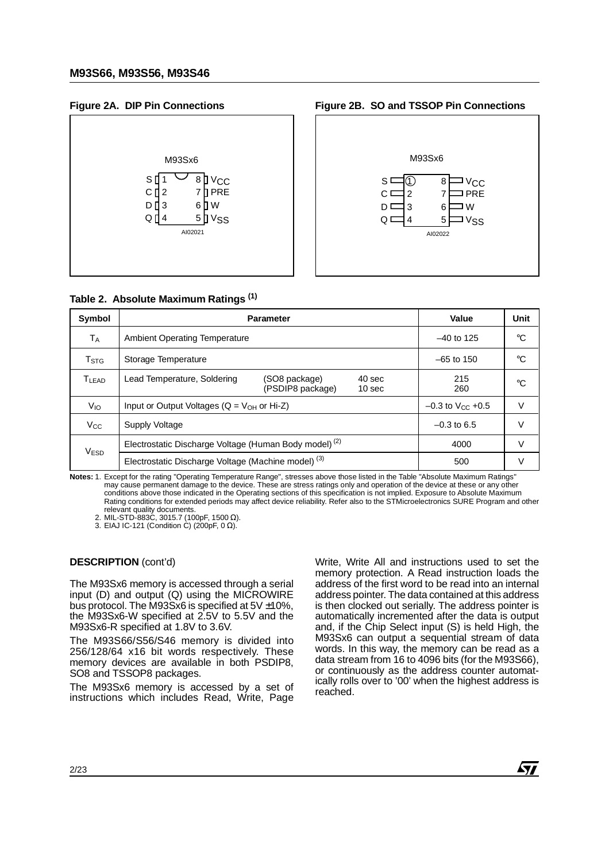# **Figure 2A. DIP Pin Connections**



#### **Figure 2B. SO and TSSOP Pin Connections**



#### **Table 2. Absolute Maximum Ratings (1)**

| Symbol                    | <b>Parameter</b>                                                  | Value                             | Unit                        |            |    |
|---------------------------|-------------------------------------------------------------------|-----------------------------------|-----------------------------|------------|----|
| Tд                        | <b>Ambient Operating Temperature</b>                              | $-40$ to 125                      | °C                          |            |    |
| $\mathsf{T}_{\text{STG}}$ | Storage Temperature                                               | $-65$ to 150                      | °C                          |            |    |
| <b>TLEAD</b>              | Lead Temperature, Soldering                                       | (SO8 package)<br>(PSDIP8 package) | 40 sec<br>10 <sub>sec</sub> | 215<br>260 | °C |
| V <sub>IO</sub>           | Input or Output Voltages ( $Q = V_{OH}$ or Hi-Z)                  | $-0.3$ to V <sub>CC</sub> +0.5    | V                           |            |    |
| <b>V<sub>CC</sub></b>     | Supply Voltage                                                    | $-0.3$ to 6.5                     | V                           |            |    |
| V <sub>ESD</sub>          | Electrostatic Discharge Voltage (Human Body model) <sup>(2)</sup> | 4000                              | V                           |            |    |
|                           | Electrostatic Discharge Voltage (Machine model) <sup>(3)</sup>    | 500                               |                             |            |    |

**Notes:** 1. Except for the rating "Operating Temperature Range", stresses above those listed in the Table "Absolute Maximum Ratings" may cause permanent damage to the device. These are stress ratings only and operation of the device at these or any other conditions above those indicated in the Operating sections of this specification is not implied. Exposure to Absolute Maximum Rating conditions for extended periods may affect device reliability. Refer also to the STMicroelectronics SURE Program and other relevant quality documents.

2. MIL-STD-883C, 3015.7 (100pF, 1500 Ω). 3. EIAJ IC-121 (Condition C) (200pF, 0 Ω).

The M93Sx6 memory is accessed through a serial input (D) and output (Q) using the MICROWIRE bus protocol. The M93Sx6 is specified at 5V ±10%, the M93Sx6-W specified at 2.5V to 5.5V and the M93Sx6-R specified at 1.8V to 3.6V.

The M93S66/S56/S46 memory is divided into 256/128/64 x16 bit words respectively. These memory devices are available in both PSDIP8, SO8 and TSSOP8 packages.

The M93Sx6 memory is accessed by a set of instructions which includes Read, Write, Page

**DESCRIPTION** (cont'd) Write, Write, Write All and instructions used to set the memory protection. A Read instruction loads the address of the first word to be read into an internal address pointer. The data contained at this address is then clocked out serially. The address pointer is automatically incremented after the data is output and, if the Chip Select input (S) is held High, the M93Sx6 can output a sequential stream of data words. In this way, the memory can be read as a data stream from 16 to 4096 bits (for the M93S66), or continuously as the address counter automatically rolls over to '00' when the highest address is reached.

*ky*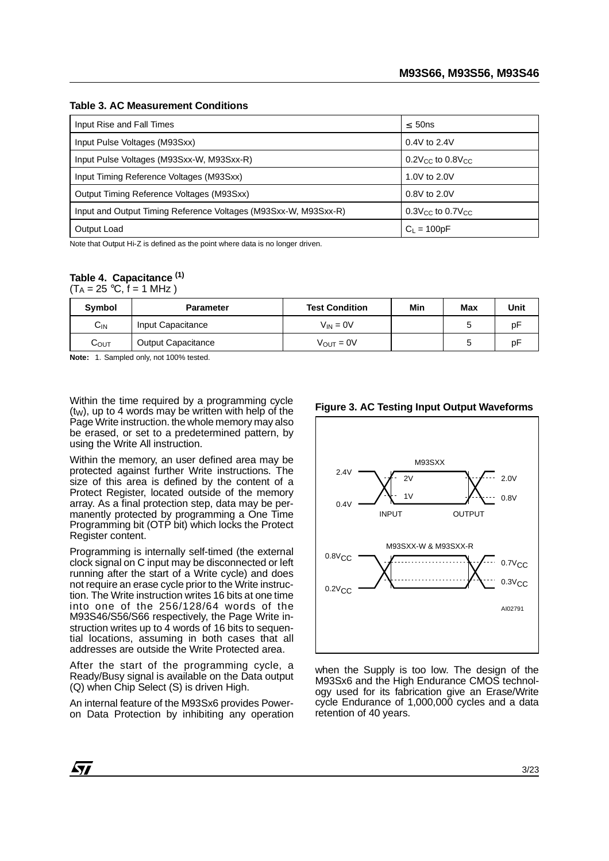| Input Rise and Fall Times                                       | $\leq 50$ ns                       |
|-----------------------------------------------------------------|------------------------------------|
| Input Pulse Voltages (M93Sxx)                                   | $0.4V$ to 2.4V                     |
| Input Pulse Voltages (M93Sxx-W, M93Sxx-R)                       | $0.2V_{CC}$ to $0.8V_{CC}$         |
| Input Timing Reference Voltages (M93Sxx)                        | 1.0V to 2.0V                       |
| Output Timing Reference Voltages (M93Sxx)                       | 0.8V to 2.0V                       |
| Input and Output Timing Reference Voltages (M93Sxx-W, M93Sxx-R) | $0.3V_{\rm CC}$ to $0.7V_{\rm CC}$ |
| Output Load                                                     | $C_1 = 100pF$                      |

**Table 3. AC Measurement Conditions**

Note that Output Hi-Z is defined as the point where data is no longer driven.

# **Table 4. Capacitance (1)**

 $(T_A = 25 \text{ °C}, f = 1 \text{ MHz})$ 

| Symbol   | Min<br><b>Test Condition</b><br><b>Parameter</b> |                       |  |  | Unit |
|----------|--------------------------------------------------|-----------------------|--|--|------|
| $C_{IN}$ | Input Capacitance                                | $V_{IN} = 0V$         |  |  | p۲   |
| Соυт     | <b>Output Capacitance</b>                        | $V_{\text{OUT}} = 0V$ |  |  | p۲   |

**Note:** 1. Sampled only, not 100% tested.

Within the time required by a programming cycle  $(t<sub>W</sub>)$ , up to 4 words may be written with help of the Page Write instruction. the whole memory may also be erased, or set to a predetermined pattern, by using the Write All instruction.

Within the memory, an user defined area may be protected against further Write instructions. The size of this area is defined by the content of a Protect Register, located outside of the memory array. As a final protection step, data may be permanently protected by programming a One Time Programming bit (OTP bit) which locks the Protect Register content.

Programming is internally self-timed (the external clock signal on C input may be disconnected or left running after the start of a Write cycle) and does not require an erase cycle prior to the Write instruction. The Write instruction writes 16 bits at one time into one of the 256/128/64 words of the M93S46/S56/S66 respectively, the Page Write instruction writes up to 4 words of 16 bits to sequential locations, assuming in both cases that all addresses are outside the Write Protected area.

After the start of the programming cycle, a Ready/Busy signal is available on the Data output (Q) when Chip Select (S) is driven High.

An internal feature of the M93Sx6 provides Poweron Data Protection by inhibiting any operation

#### **Figure 3. AC Testing Input Output Waveforms**



when the Supply is too low. The design of the M93Sx6 and the High Endurance CMOS technology used for its fabrication give an Erase/Write cycle Endurance of 1,000,000 cycles and a data retention of 40 years.

57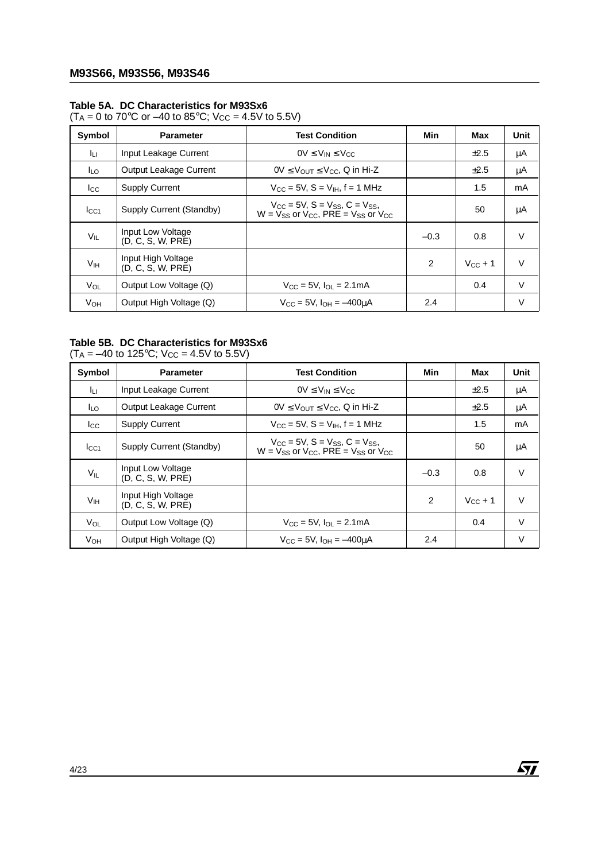# **Table 5A. DC Characteristics for M93Sx6**

 $(T_A = 0 \text{ to } 70^{\circ} \text{C} \text{ or } -40 \text{ to } 85^{\circ} \text{C}; \text{ V}_{\text{CC}} = 4.5 \text{V} \text{ to } 5.5 \text{V})$ 

| Symbol                | <b>Parameter</b>                        | <b>Test Condition</b>                                                                                 | Min    | Max          | Unit   |
|-----------------------|-----------------------------------------|-------------------------------------------------------------------------------------------------------|--------|--------------|--------|
| Jц                    | Input Leakage Current                   | $0V \leq V_{IN} \leq V_{CC}$                                                                          |        | $\pm 2.5$    | μA     |
| I <sub>LO</sub>       | Output Leakage Current                  | $0V \leq V_{OUT} \leq V_{CC}$ , Q in Hi-Z                                                             |        | $\pm 2.5$    | μA     |
| $_{\rm lcc}$          | <b>Supply Current</b>                   | $V_{\text{CC}} = 5V$ , S = $V_{\text{IH}}$ , f = 1 MHz                                                |        | 1.5          | mA     |
| $_{\rm lcc1}$         | Supply Current (Standby)                | $V_{CC}$ = 5V, $S = V_{SS}$ , $C = V_{SS}$ ,<br>$W = V_{SS}$ or $V_{CC}$ , PRE = $V_{SS}$ or $V_{CC}$ |        | 50           | μA     |
| $V_{IL}$              | Input Low Voltage<br>(D, C, S, W, PRE)  |                                                                                                       | $-0.3$ | 0.8          | $\vee$ |
| V <sub>IH</sub>       | Input High Voltage<br>(D, C, S, W, PRE) |                                                                                                       | 2      | $V_{CC}$ + 1 | $\vee$ |
| $V_{OL}$              | Output Low Voltage (Q)                  | $V_{CC} = 5V$ , $I_{OL} = 2.1 \text{mA}$                                                              |        | 0.4          | $\vee$ |
| <b>V<sub>OH</sub></b> | Output High Voltage (Q)                 | $V_{\text{CC}} = 5V$ , $I_{\text{OH}} = -400 \mu A$                                                   | 2.4    |              | V      |

# **Table 5B. DC Characteristics for M93Sx6**

 $(T_A = -40 \text{ to } 125^{\circ} \text{C}; V_{CC} = 4.5 \text{V} \text{ to } 5.5 \text{V})$ 

| Symbol           | <b>Parameter</b>                        | <b>Test Condition</b>                                                                 | Min    | Max          | Unit   |
|------------------|-----------------------------------------|---------------------------------------------------------------------------------------|--------|--------------|--------|
| Iцг              | Input Leakage Current                   | $0V \leq V_{IN} \leq V_{CC}$                                                          |        | ±2.5         | μA     |
| lLo              | Output Leakage Current                  | $0V \leq V_{OUT} \leq V_{CC}$ , Q in Hi-Z                                             |        | ±2.5         | μA     |
| $_{\rm lcc}$     | <b>Supply Current</b>                   | $V_{\text{CC}} = 5V$ , S = $V_{\text{IH}}$ , f = 1 MHz                                |        | 1.5          | mA     |
| I <sub>CC1</sub> | Supply Current (Standby)                | $V_{CC}$ = 5V, S = Vss, C = Vss,<br>$W = V$ ss or $V_{CC}$ . PRE = $V$ ss or $V_{CC}$ |        | 50           | μA     |
| $V_{IL}$         | Input Low Voltage<br>(D, C, S, W, PRE)  |                                                                                       | $-0.3$ | 0.8          | $\vee$ |
| V <sub>IH</sub>  | Input High Voltage<br>(D, C, S, W, PRE) |                                                                                       | 2      | $V_{CC}$ + 1 | $\vee$ |
| $V_{OL}$         | Output Low Voltage (Q)                  | $V_{CC} = 5V$ , $I_{OL} = 2.1 \text{mA}$                                              |        | 0.4          | $\vee$ |
| Vон              | Output High Voltage (Q)                 | $V_{\text{CC}} = 5V$ , $I_{\text{OH}} = -400 \mu A$                                   | 2.4    |              | V      |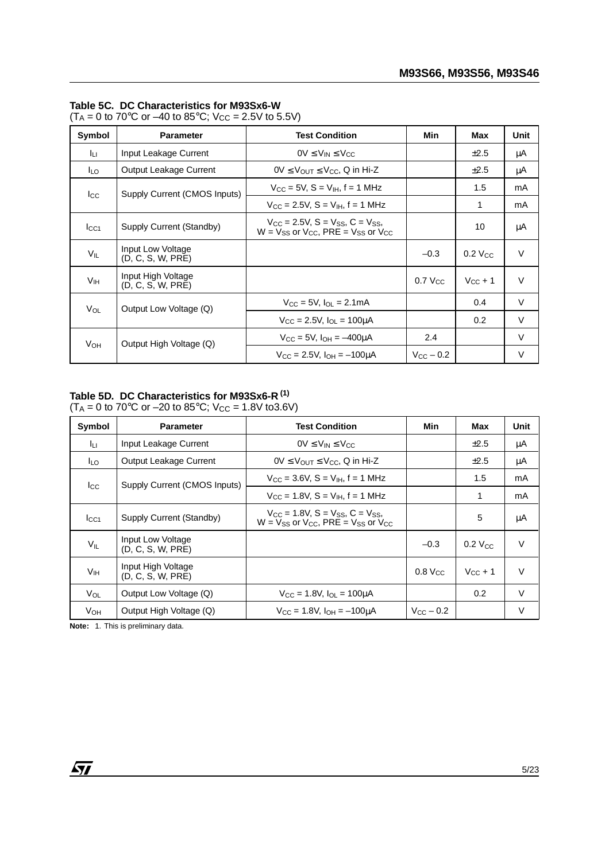#### **Table 5C. DC Characteristics for M93Sx6-W**

 $(T_A = 0 \text{ to } 70^{\circ} \text{C} \text{ or } -40 \text{ to } 85^{\circ} \text{C}; \text{ V}_{\text{CC}} = 2.5 \text{V} \text{ to } 5.5 \text{V})$ 

| Symbol                | <b>Parameter</b>                        | <b>Test Condition</b>                                                                  | Min                  | Max                   | Unit   |
|-----------------------|-----------------------------------------|----------------------------------------------------------------------------------------|----------------------|-----------------------|--------|
| Iцг                   | Input Leakage Current                   | $0V \leq V_{IN} \leq V_{CC}$                                                           |                      | $\pm 2.5$             | μA     |
| ILO.                  | Output Leakage Current                  | $0V \leq V_{\text{OUT}} \leq V_{\text{CC}}$ , Q in Hi-Z                                |                      | ±2.5                  | μA     |
| $_{\rm lcc}$          | Supply Current (CMOS Inputs)            | $V_{CC} = 5V$ , S = $V_{IH}$ , f = 1 MHz                                               |                      | 1.5                   | mA     |
|                       |                                         | $V_{\text{CC}} = 2.5V$ , S = $V_{\text{IH}}$ , f = 1 MHz                               |                      | 1                     | mA     |
| I <sub>CC1</sub>      | Supply Current (Standby)                | $V_{CC}$ = 2.5V, S = $V_{SS}$ , C = $V_{SS}$ ,<br>$W = V$ ss or Vcc. PRE = Vss or Vcc. |                      | 10                    | μA     |
| $V_{IL}$              | Input Low Voltage<br>(D, C, S, W, PRE)  |                                                                                        | $-0.3$               | $0.2$ V <sub>CC</sub> | $\vee$ |
| V <sub>IH</sub>       | Input High Voltage<br>(D, C, S, W, PRE) |                                                                                        | 0.7 V <sub>CC</sub>  | $V_{CC}$ + 1          | $\vee$ |
| $V_{OL}$              | Output Low Voltage (Q)                  | $V_{CC} = 5V$ , $I_{OL} = 2.1 \text{mA}$                                               |                      | 0.4                   | $\vee$ |
|                       |                                         | $V_{\rm CC} = 2.5V$ , $I_{\rm OL} = 100 \mu A$                                         |                      | 0.2                   | V      |
| <b>V<sub>OH</sub></b> | Output High Voltage (Q)                 | $V_{\rm CC} = 5V$ , $I_{\rm OH} = -400 \mu A$                                          | 2.4                  |                       | $\vee$ |
|                       |                                         | $V_{\text{CC}} = 2.5V$ , $I_{\text{OH}} = -100 \mu A$                                  | $V_{\rm CC}$ $-$ 0.2 |                       | $\vee$ |

#### **Table 5D. DC Characteristics for M93Sx6-R (1)**  $(T_A = 0 \text{ to } 70^{\circ} \text{C} \text{ or } -20 \text{ to } 85^{\circ} \text{C}; \text{ V}_{\text{CC}} = 1.8 \text{V} \text{ to } 3.6 \text{V})$

| Symbol           | <b>Parameter</b>                        | <b>Test Condition</b>                                                                                   | Min                   | Max                   | Unit   |
|------------------|-----------------------------------------|---------------------------------------------------------------------------------------------------------|-----------------------|-----------------------|--------|
| Iцг              | Input Leakage Current                   | $0V \leq V_{IN} \leq V_{CC}$                                                                            |                       | $\pm 2.5$             | μA     |
| lLo.             | Output Leakage Current                  | $0V \leq V_{OUT} \leq V_{CC}$ , Q in Hi-Z                                                               |                       | $\pm 2.5$             | μA     |
| $_{\rm lcc}$     | Supply Current (CMOS Inputs)            | $V_{\text{CC}} = 3.6V$ , S = $V_{\text{IH}}$ , f = 1 MHz                                                |                       | 1.5                   | mA     |
|                  |                                         | $V_{\text{CC}} = 1.8V$ , $S = V_{\text{IH}}$ , $f = 1$ MHz                                              |                       | 1                     | mA     |
| I <sub>CC1</sub> | Supply Current (Standby)                | $V_{CC}$ = 1.8V, S = $V_{SS}$ , C = $V_{SS}$ ,<br>$W = V_{SS}$ or $V_{CC}$ , PRE = $V_{SS}$ or $V_{CC}$ |                       | 5                     | μA     |
| $V_{IL}$         | Input Low Voltage<br>(D, C, S, W, PRE)  |                                                                                                         | $-0.3$                | $0.2$ V <sub>CC</sub> | $\vee$ |
| V <sub>IH</sub>  | Input High Voltage<br>(D, C, S, W, PRE) |                                                                                                         | $0.8$ V <sub>CC</sub> | $V_{CC}$ + 1          | $\vee$ |
| $V_{OL}$         | Output Low Voltage (Q)                  | $V_{\text{CC}} = 1.8V$ , $I_{\text{OL}} = 100 \mu A$                                                    |                       | 0.2                   | $\vee$ |
| <b>V</b> он      | Output High Voltage (Q)                 | $V_{\rm CC} = 1.8V$ , $I_{\rm OH} = -100 \mu A$                                                         | $V_{\rm CC}$ $-$ 0.2  |                       | V      |

**Note:** 1. This is preliminary data.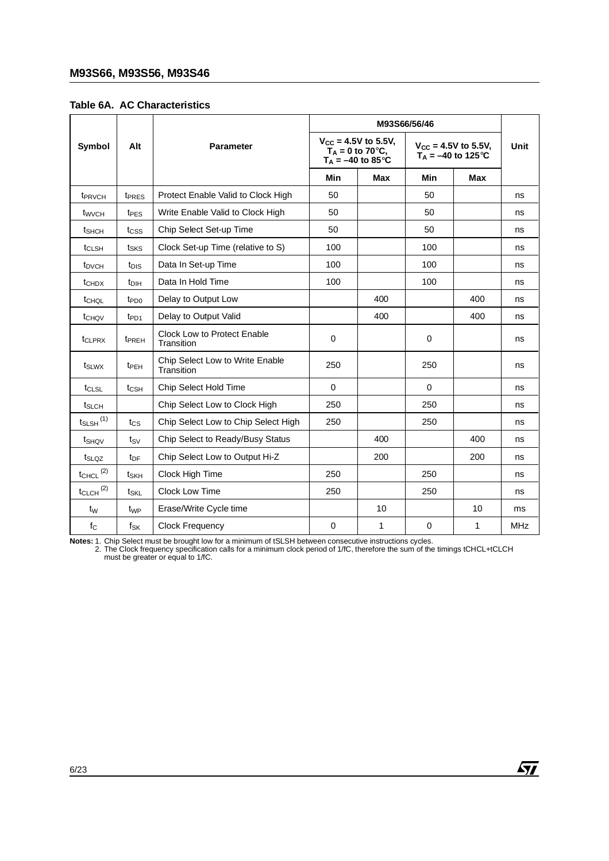|  |  | <b>Table 6A. AC Characteristics</b> |
|--|--|-------------------------------------|
|--|--|-------------------------------------|

| Symbol                    | Alt               | <b>Parameter</b>                              |             | $V_{CC} = 4.5V$ to 5.5V,<br>$T_A = 0$ to 70 $\degree$ C,<br>$T_A = -40$ to 85°C | $V_{CC} = 4.5V$ to 5.5V,<br>$T_A = -40$ to 125 °C | Unit       |            |
|---------------------------|-------------------|-----------------------------------------------|-------------|---------------------------------------------------------------------------------|---------------------------------------------------|------------|------------|
|                           |                   |                                               | Min         | <b>Max</b>                                                                      | Min                                               | <b>Max</b> |            |
| t <sub>PRVCH</sub>        | t <sub>PRES</sub> | Protect Enable Valid to Clock High            | 50          |                                                                                 | 50                                                |            | ns         |
| t <sub>wvcH</sub>         | t <sub>PES</sub>  | Write Enable Valid to Clock High              | 50          |                                                                                 | 50                                                |            | ns         |
| t <sub>SHCH</sub>         | tcss              | Chip Select Set-up Time                       | 50          |                                                                                 | 50                                                |            | ns         |
| t <sub>CLSH</sub>         | t <sub>SKS</sub>  | Clock Set-up Time (relative to S)             | 100         |                                                                                 | 100                                               |            | ns         |
| t <sub>DVCH</sub>         | t <sub>DIS</sub>  | Data In Set-up Time                           | 100         |                                                                                 | 100                                               |            | ns         |
| t <sub>CHDX</sub>         | t <sub>DIH</sub>  | Data In Hold Time                             | 100         |                                                                                 | 100                                               |            | ns         |
| t <sub>CHQL</sub>         | t <sub>PD0</sub>  | Delay to Output Low                           |             | 400                                                                             |                                                   | 400        | ns         |
| t <sub>CHQV</sub>         | $tp_{D1}$         | Delay to Output Valid                         |             | 400                                                                             |                                                   | 400        | ns         |
| t <sub>CLPRX</sub>        | t <sub>PREH</sub> | Clock Low to Protect Enable<br>Transition     | $\mathbf 0$ |                                                                                 | $\mathbf 0$                                       |            | ns         |
| t <sub>SLWX</sub>         | t <sub>PEH</sub>  | Chip Select Low to Write Enable<br>Transition | 250         |                                                                                 | 250                                               |            | ns         |
| t <sub>CLSL</sub>         | t <sub>CSH</sub>  | Chip Select Hold Time                         | 0           |                                                                                 | $\Omega$                                          |            | ns         |
| t <sub>SLCH</sub>         |                   | Chip Select Low to Clock High                 | 250         |                                                                                 | 250                                               |            | ns         |
| $t_{SLSH}$ <sup>(1)</sup> | $t_{\text{CS}}$   | Chip Select Low to Chip Select High           | 250         |                                                                                 | 250                                               |            | ns         |
| t <sub>SHQV</sub>         | tsv               | Chip Select to Ready/Busy Status              |             | 400                                                                             |                                                   | 400        | ns         |
| t <sub>SLQZ</sub>         | t <sub>DF</sub>   | Chip Select Low to Output Hi-Z                |             | 200                                                                             |                                                   | 200        | ns         |
| $t_{CHCL}$ <sup>(2)</sup> | tskh              | Clock High Time                               | 250         |                                                                                 | 250                                               |            | ns         |
| $t_{CLCH}$ <sup>(2)</sup> | tskl              | Clock Low Time                                | 250         |                                                                                 | 250                                               |            | ns         |
| $t_{\rm W}$               | t <sub>WP</sub>   | Erase/Write Cycle time                        |             | 10                                                                              |                                                   | 10         | ms         |
| $f_{\rm C}$               | fsk               | <b>Clock Frequency</b>                        | 0           | 1                                                                               | 0                                                 | 1          | <b>MHz</b> |

Notes: 1. Chip Select must be brought low for a minimum of tSLSH between consecutive instructions cycles.<br>2. The Clock frequency specification calls for a minimum clock period of 1/fC, therefore the sum of the timings tCHC

 $\sqrt{M}$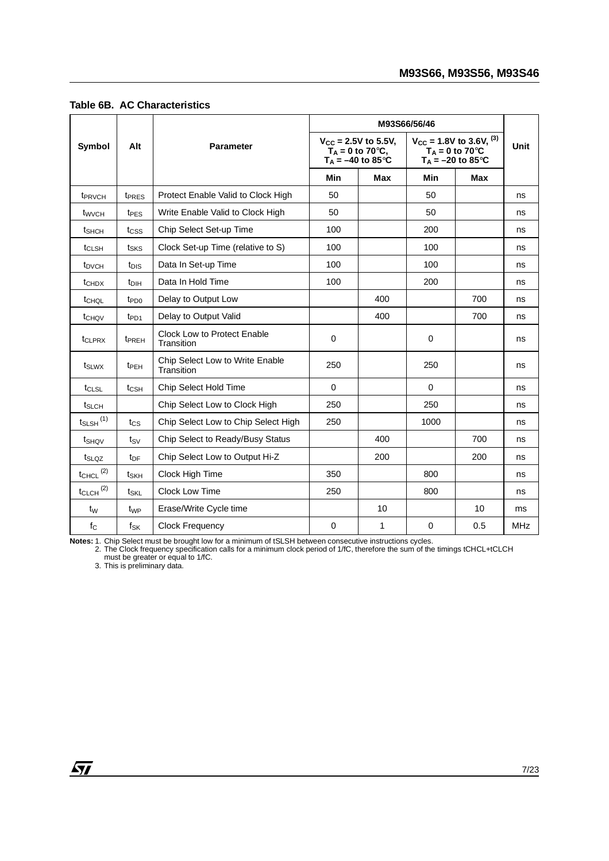| Symbol                    | Alt                     | <b>Parameter</b>                                 |             | $V_{\text{CC}} = 2.5V$ to 5.5V,<br>$T_A = 0$ to 70 $\degree$ C,<br>$T_A = -40$ to 85°C | $V_{CC}$ = 1.8V to 3.6V, <sup>(3)</sup><br>T <sub>A</sub> = 0 to 70°C<br>$T_A = -20$ to 85°C | Unit       |            |
|---------------------------|-------------------------|--------------------------------------------------|-------------|----------------------------------------------------------------------------------------|----------------------------------------------------------------------------------------------|------------|------------|
|                           |                         |                                                  | Min         | <b>Max</b>                                                                             | Min                                                                                          | <b>Max</b> |            |
| t <sub>PRVCH</sub>        | t <sub>PRES</sub>       | Protect Enable Valid to Clock High               | 50          |                                                                                        | 50                                                                                           |            | ns         |
| t <sub>wvcH</sub>         | t <sub>PES</sub>        | Write Enable Valid to Clock High                 | 50          |                                                                                        | 50                                                                                           |            | ns         |
| t <sub>SHCH</sub>         | tcss                    | Chip Select Set-up Time                          | 100         |                                                                                        | 200                                                                                          |            | ns         |
| t <sub>CLSH</sub>         | tsks                    | Clock Set-up Time (relative to S)                | 100         |                                                                                        | 100                                                                                          |            | ns         |
| t <sub>DVCH</sub>         | t <sub>DIS</sub>        | Data In Set-up Time                              | 100         |                                                                                        | 100                                                                                          |            | ns         |
| t <sub>CHDX</sub>         | $t_{\text{DH}}$         | Data In Hold Time                                | 100         |                                                                                        | 200                                                                                          |            | ns         |
| tCHQL                     | t <sub>PD0</sub>        | Delay to Output Low                              |             | 400                                                                                    |                                                                                              | 700        | ns         |
| t <sub>CHQV</sub>         | $tp_{D1}$               | Delay to Output Valid                            |             | 400                                                                                    |                                                                                              | 700        | ns         |
| t <sub>CLPRX</sub>        | <b>TPREH</b>            | <b>Clock Low to Protect Enable</b><br>Transition | $\mathbf 0$ |                                                                                        | 0                                                                                            |            | ns         |
| t <sub>SLWX</sub>         | <b>t</b> <sub>PEH</sub> | Chip Select Low to Write Enable<br>Transition    | 250         |                                                                                        | 250                                                                                          |            | ns         |
| t <sub>CLSL</sub>         | t <sub>CSH</sub>        | Chip Select Hold Time                            | $\Omega$    |                                                                                        | $\Omega$                                                                                     |            | ns         |
| t <sub>SLCH</sub>         |                         | Chip Select Low to Clock High                    | 250         |                                                                                        | 250                                                                                          |            | ns         |
| $t_{SLSH}$ <sup>(1)</sup> | $t_{\rm CS}$            | Chip Select Low to Chip Select High              | 250         |                                                                                        | 1000                                                                                         |            | ns         |
| t <sub>SHOV</sub>         | tsv                     | Chip Select to Ready/Busy Status                 |             | 400                                                                                    |                                                                                              | 700        | ns         |
| t <sub>SLQZ</sub>         | t <sub>DF</sub>         | Chip Select Low to Output Hi-Z                   |             | 200                                                                                    |                                                                                              | 200        | ns         |
| $t_{CHCL}$ <sup>(2)</sup> | tskh                    | Clock High Time                                  | 350         |                                                                                        | 800                                                                                          |            | ns         |
| $t_{CLCH}$ <sup>(2)</sup> | tskl                    | Clock Low Time                                   | 250         |                                                                                        | 800                                                                                          |            | ns         |
| $t_{\rm W}$               | t <sub>WP</sub>         | Erase/Write Cycle time                           |             | 10                                                                                     |                                                                                              | 10         | ms         |
| $f_{\rm C}$               | fsk                     | <b>Clock Frequency</b>                           | 0           | 1                                                                                      | 0                                                                                            | 0.5        | <b>MHz</b> |

#### **Table 6B. AC Characteristics**

Notes: 1. Chip Select must be brought low for a minimum of tSLSH between consecutive instructions cycles.<br>2. The Clock frequency specification calls for a minimum clock period of 1/fC, therefore the sum of the timings tCHC

 $\sqrt{1}$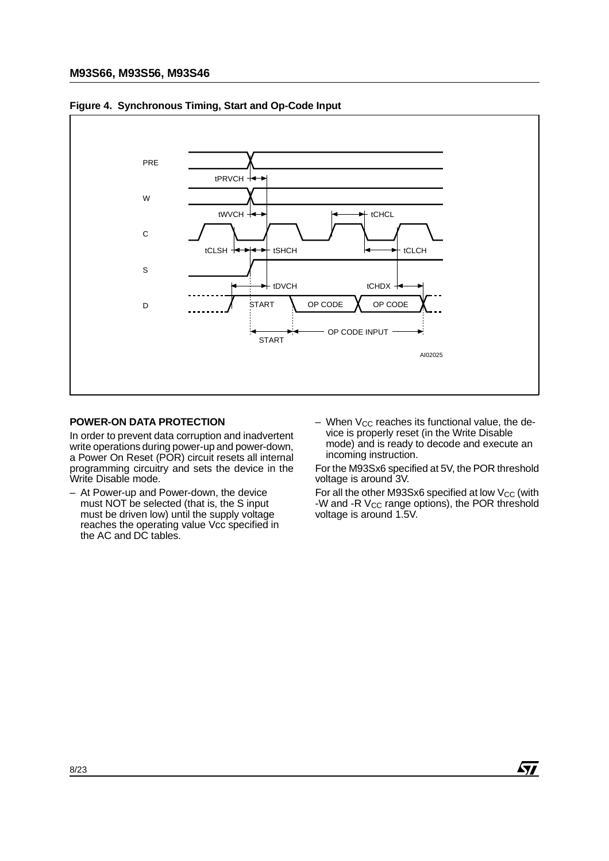

**Figure 4. Synchronous Timing, Start and Op-Code Input**

#### **POWER-ON DATA PROTECTION**

In order to prevent data corruption and inadvertent write operations during power-up and power-down, a Power On Reset (POR) circuit resets all internal programming circuitry and sets the device in the Write Disable mode.

- At Power-up and Power-down, the device must NOT be selected (that is, the S input must be driven low) until the supply voltage reaches the operating value Vcc specified in the AC and DC tables.
- $-$  When V<sub>CC</sub> reaches its functional value, the device is properly reset (in the Write Disable mode) and is ready to decode and execute an incoming instruction.

For the M93Sx6 specified at 5V, the POR threshold voltage is around 3V.

For all the other M93Sx6 specified at low V<sub>CC</sub> (with -W and -R  $V_{CC}$  range options), the POR threshold voltage is around 1.5V.

 $\sqrt{M}$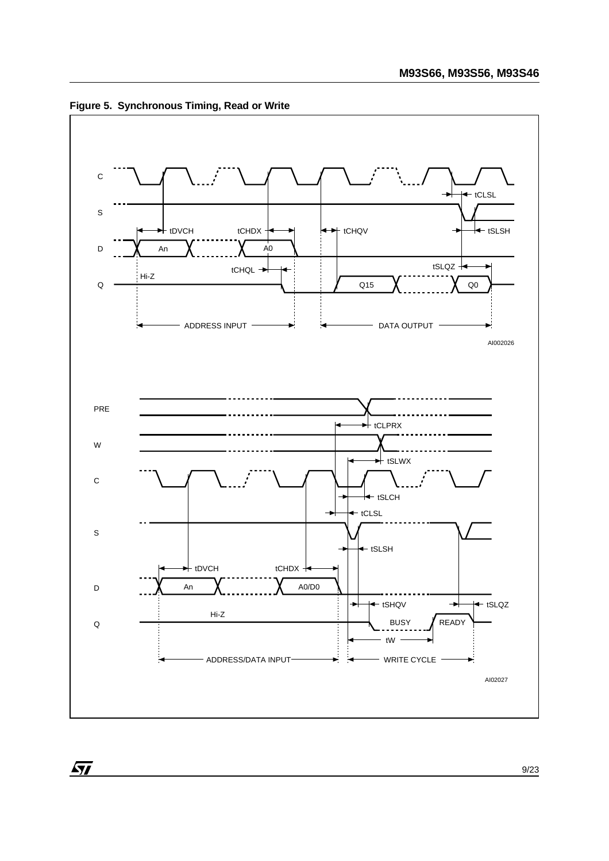

**Figure 5. Synchronous Timing, Read or Write**

 $\sqrt{M}$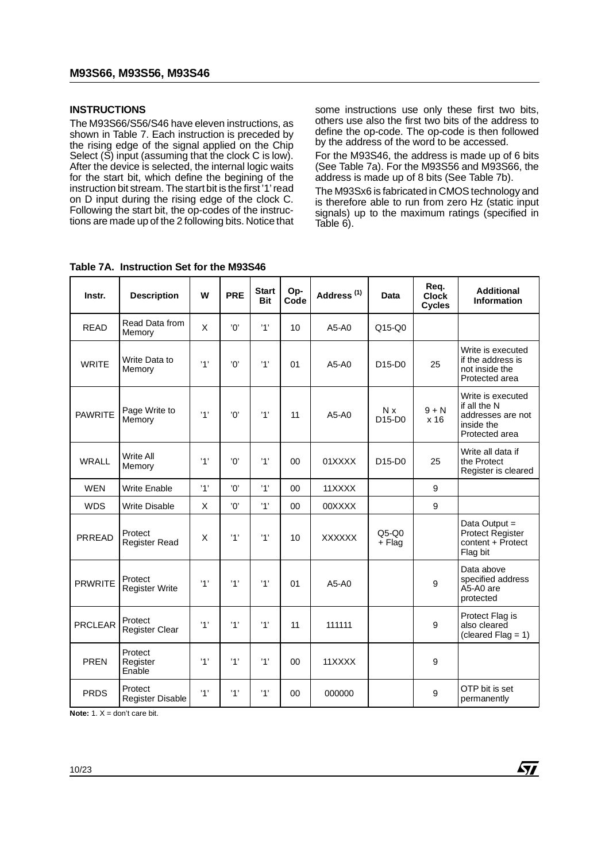#### **INSTRUCTIONS**

The M93S66/S56/S46 have eleven instructions, as shown in Table 7. Each instruction is preceded by the rising edge of the signal applied on the Chip Select (S) input (assuming that the clock C is low). After the device is selected, the internal logic waits for the start bit, which define the begining of the instruction bit stream. The start bit is the first '1' read on D input during the rising edge of the clock C. Following the start bit, the op-codes of the instructions are made up of the 2 following bits. Notice that some instructions use only these first two bits, others use also the first two bits of the address to define the op-code. The op-code is then followed by the address of the word to be accessed.

For the M93S46, the address is made up of 6 bits (See Table 7a). For the M93S56 and M93S66, the address is made up of 8 bits (See Table 7b).

The M93Sx6 is fabricated in CMOS technology and is therefore able to run from zero Hz (static input signals) up to the maximum ratings (specified in Table 6).

| Instr.         | <b>Description</b>               | W   | <b>PRE</b> | <b>Start</b><br><b>Bit</b> | Op-<br>Code | Address <sup>(1)</sup> | Data                                   | Reg.<br><b>Clock</b><br><b>Cycles</b> | <b>Additional</b><br><b>Information</b>                                                |
|----------------|----------------------------------|-----|------------|----------------------------|-------------|------------------------|----------------------------------------|---------------------------------------|----------------------------------------------------------------------------------------|
| <b>READ</b>    | Read Data from<br>Memory         | X   | '0'        | '1'                        | 10          | A5-A0                  | $Q15-Q0$                               |                                       |                                                                                        |
| <b>WRITE</b>   | Write Data to<br>Memory          | '1' | 'N'        | '1'                        | 01          | A5-A0                  | D <sub>15</sub> -D <sub>0</sub>        | 25                                    | Write is executed<br>if the address is<br>not inside the<br>Protected area             |
| <b>PAWRITE</b> | Page Write to<br>Memory          | '1' | '0'        | '1'                        | 11          | $A5-A0$                | N x<br>D <sub>15</sub> -D <sub>0</sub> | $9 + N$<br>x 16                       | Write is executed<br>if all the N<br>addresses are not<br>inside the<br>Protected area |
| <b>WRALL</b>   | <b>Write All</b><br>Memory       | '1' | 'Oʻ        | '1'                        | 00          | 01XXXX                 | D <sub>15</sub> -D <sub>0</sub>        | 25                                    | Write all data if<br>the Protect<br>Register is cleared                                |
| <b>WEN</b>     | <b>Write Enable</b>              | '1' | 'Oʻ        | '1'                        | $00\,$      | 11XXXX                 |                                        | 9                                     |                                                                                        |
| <b>WDS</b>     | <b>Write Disable</b>             | X   | '0'        | '1'                        | 00          | 00XXXX                 |                                        | 9                                     |                                                                                        |
| PRREAD         | Protect<br><b>Register Read</b>  | X   | '1'        | '1'                        | 10          | <b>XXXXXX</b>          | $Q5-Q0$<br>+ Flag                      |                                       | Data Output =<br>Protect Register<br>content + Protect<br>Flag bit                     |
| <b>PRWRITE</b> | Protect<br><b>Register Write</b> | '1' | '1'        | '1'                        | 01          | $A5-A0$                |                                        | 9                                     | Data above<br>specified address<br>A5-A0 are<br>protected                              |
| <b>PRCLEAR</b> | Protect<br><b>Register Clear</b> | '1' | '1'        | '1'                        | 11          | 111111                 |                                        | 9                                     | Protect Flag is<br>also cleared<br>(cleared Flag = $1$ )                               |
| <b>PREN</b>    | Protect<br>Register<br>Enable    | '1' | '1'        | '1'                        | 00          | 11XXXX                 |                                        | 9                                     |                                                                                        |
| <b>PRDS</b>    | Protect<br>Register Disable      | '1' | '1'        | '1'                        | 00          | 000000                 |                                        | 9                                     | OTP bit is set<br>permanently                                                          |

**Table 7A. Instruction Set for the M93S46**

**Note:**  $1 \text{.} X = \text{don't care bit.}$ 

*st*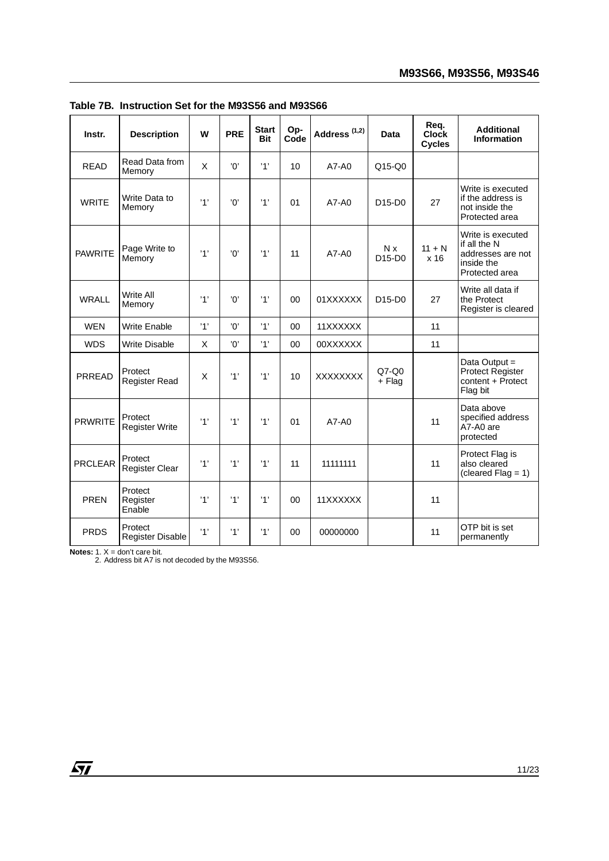| Instr.         | <b>Description</b>                 | W   | <b>PRE</b> | <b>Start</b><br><b>Bit</b> | Op-<br>Code | Address <sup>(1,2)</sup> | <b>Data</b>       | Req.<br><b>Clock</b><br><b>Cycles</b> | <b>Additional</b><br><b>Information</b>                                                |
|----------------|------------------------------------|-----|------------|----------------------------|-------------|--------------------------|-------------------|---------------------------------------|----------------------------------------------------------------------------------------|
| <b>READ</b>    | Read Data from<br>Memory           | X   | 'n'        | '1'                        | 10          | A7-A0                    | $Q15-Q0$          |                                       |                                                                                        |
| <b>WRITE</b>   | Write Data to<br>Memory            | '1' | 'n'        | '1'                        | 01          | $A7 - A0$                | $D15-D0$          | 27                                    | Write is executed<br>if the address is<br>not inside the<br>Protected area             |
| <b>PAWRITE</b> | Page Write to<br>Memory            | '1' | 'Oʻ        | '1'                        | 11          | A7-A0                    | N x<br>$D15-D0$   | $11 + N$<br>x <sub>16</sub>           | Write is executed<br>if all the N<br>addresses are not<br>inside the<br>Protected area |
| <b>WRALL</b>   | <b>Write All</b><br>Memory         | '1' | 'Oʻ        | '1'                        | 00          | 01XXXXXX                 | $D15-D0$          | 27                                    | Write all data if<br>the Protect<br>Register is cleared                                |
| <b>WEN</b>     | <b>Write Enable</b>                | '1' | '0'        | '1'                        | 00          | 11XXXXXX                 |                   | 11                                    |                                                                                        |
| <b>WDS</b>     | <b>Write Disable</b>               | X   | 'n'        | '1'                        | 00          | 00XXXXXX                 |                   | 11                                    |                                                                                        |
| PRREAD         | Protect<br><b>Register Read</b>    | X   | '1'        | '1'                        | 10          | <b>XXXXXXXX</b>          | $Q7-Q0$<br>+ Flag |                                       | Data Output =<br>Protect Register<br>content + Protect<br>Flag bit                     |
| <b>PRWRITE</b> | Protect<br><b>Register Write</b>   | '1' | '1'        | '1'                        | 01          | $A7 - A0$                |                   | 11                                    | Data above<br>specified address<br>A7-A0 are<br>protected                              |
| <b>PRCLEAR</b> | Protect<br><b>Register Clear</b>   | '1' | '1'        | '1'                        | 11          | 11111111                 |                   | 11                                    | Protect Flag is<br>also cleared<br>$(cleared Flag = 1)$                                |
| <b>PREN</b>    | Protect<br>Register<br>Enable      | '1' | '1'        | '1'                        | 00          | 11XXXXXX                 |                   | 11                                    |                                                                                        |
| <b>PRDS</b>    | Protect<br><b>Register Disable</b> | '1' | '1'        | '1'                        | 00          | 00000000                 |                   | 11                                    | OTP bit is set<br>permanently                                                          |

**Table 7B. Instruction Set for the M93S56 and M93S66**

**Notes:** 1. X = don't care bit.<br>2. Address bit A7 is not decoded by the M93S56.

 $\sqrt{27}$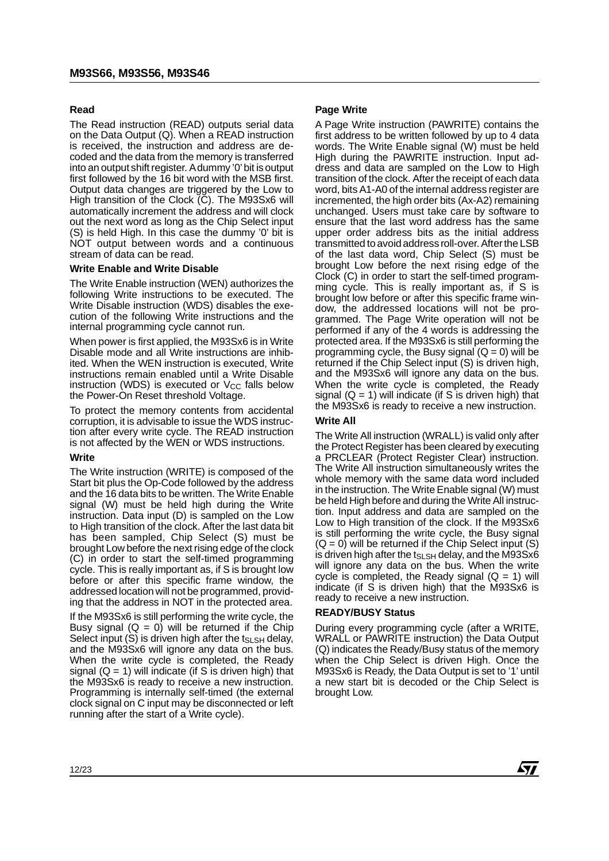# **Read**

The Read instruction (READ) outputs serial data on the Data Output (Q). When a READ instruction is received, the instruction and address are decoded and the data from the memory is transferred into an output shift register. A dummy '0' bit is output first followed by the 16 bit word with the MSB first. Output data changes are triggered by the Low to High transition of the Clock (C). The M93Sx6 will automatically increment the address and will clock out the next word as long as the Chip Select input (S) is held High. In this case the dummy '0' bit is NOT output between words and a continuous stream of data can be read.

# **Write Enable and Write Disable**

The Write Enable instruction (WEN) authorizes the following Write instructions to be executed. The Write Disable instruction (WDS) disables the execution of the following Write instructions and the internal programming cycle cannot run.

When power is first applied, the M93Sx6 is in Write Disable mode and all Write instructions are inhibited. When the WEN instruction is executed, Write instructions remain enabled until a Write Disable instruction (WDS) is executed or  $V_{CC}$  falls below the Power-On Reset threshold Voltage.

To protect the memory contents from accidental corruption, it is advisable to issue the WDS instruction after every write cycle. The READ instruction is not affected by the WEN or WDS instructions.

# **Write**

The Write instruction (WRITE) is composed of the Start bit plus the Op-Code followed by the address and the 16 data bits to be written. The Write Enable signal (W) must be held high during the Write instruction. Data input (D) is sampled on the Low to High transition of the clock. After the last data bit has been sampled, Chip Select (S) must be brought Low before the next rising edge of the clock (C) in order to start the self-timed programming cycle. This is really important as, if S is brought low before or after this specific frame window, the addressed location will not be programmed, providing that the address in NOT in the protected area.

If the M93Sx6 is still performing the write cycle, the Busy signal  $(Q = 0)$  will be returned if the Chip Select input  $(S)$  is driven high after the ts<sub>LSH</sub> delay, and the M93Sx6 will ignore any data on the bus. When the write cycle is completed, the Ready signal  $(Q = 1)$  will indicate (if S is driven high) that the M93Sx6 is ready to receive a new instruction. Programming is internally self-timed (the external clock signal on C input may be disconnected or left running after the start of a Write cycle).

# **Page Write**

A Page Write instruction (PAWRITE) contains the first address to be written followed by up to 4 data words. The Write Enable signal (W) must be held High during the PAWRITE instruction. Input address and data are sampled on the Low to High transition of the clock. After the receipt of each data word, bits A1-A0 of the internal address register are incremented, the high order bits (Ax-A2) remaining unchanged. Users must take care by software to ensure that the last word address has the same upper order address bits as the initial address transmitted to avoid address roll-over. After the LSB of the last data word, Chip Select (S) must be brought Low before the next rising edge of the Clock (C) in order to start the self-timed programming cycle. This is really important as, if S is brought low before or after this specific frame window, the addressed locations will not be programmed. The Page Write operation will not be performed if any of the 4 words is addressing the protected area. If the M93Sx6 is still performing the programming cycle, the Busy signal  $(Q = 0)$  will be returned if the Chip Select input (S) is driven high, and the M93Sx6 will ignore any data on the bus. When the write cycle is completed, the Ready signal  $(Q = 1)$  will indicate (if S is driven high) that the M93Sx6 is ready to receive a new instruction.

# **Write All**

The Write All instruction (WRALL) is valid only after the Protect Register has been cleared by executing a PRCLEAR (Protect Register Clear) instruction. The Write All instruction simultaneously writes the whole memory with the same data word included in the instruction. The Write Enable signal (W) must be held High before and during the Write All instruction. Input address and data are sampled on the Low to High transition of the clock. If the M93Sx6 is still performing the write cycle, the Busy signal  $(Q = 0)$  will be returned if the Chip Select input  $(S)$ is driven high after the t<sub>SLSH</sub> delay, and the M93Sx6 will ignore any data on the bus. When the write cycle is completed, the Ready signal  $(Q = 1)$  will indicate (if S is driven high) that the M93Sx6 is ready to receive a new instruction.

# **READY/BUSY Status**

During every programming cycle (after a WRITE, WRALL or PAWRITE instruction) the Data Output (Q) indicates the Ready/Busy status of the memory when the Chip Select is driven High. Once the M93Sx6 is Ready, the Data Output is set to '1' until a new start bit is decoded or the Chip Select is brought Low.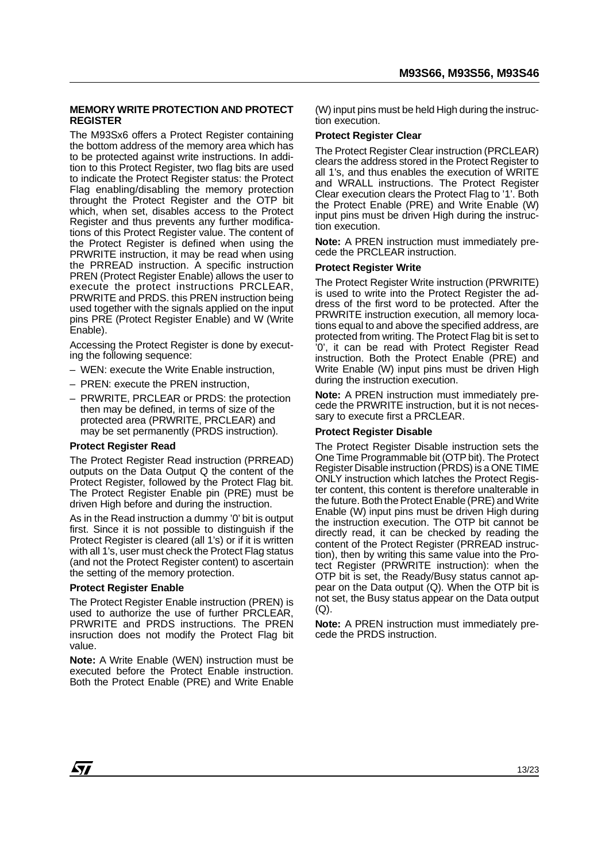#### **MEMORY WRITE PROTECTION AND PROTECT REGISTER**

The M93Sx6 offers a Protect Register containing the bottom address of the memory area which has to be protected against write instructions. In addition to this Protect Register, two flag bits are used to indicate the Protect Register status: the Protect Flag enabling/disabling the memory protection throught the Protect Register and the OTP bit which, when set, disables access to the Protect Register and thus prevents any further modifications of this Protect Register value. The content of the Protect Register is defined when using the PRWRITE instruction, it may be read when using the PRREAD instruction. A specific instruction PREN (Protect Register Enable) allows the user to execute the protect instructions PRCLEAR, PRWRITE and PRDS. this PREN instruction being used together with the signals applied on the input pins PRE (Protect Register Enable) and W (Write Enable).

Accessing the Protect Register is done by executing the following sequence:

- WEN: execute the Write Enable instruction,
- PREN: execute the PREN instruction,
- PRWRITE, PRCLEAR or PRDS: the protection then may be defined, in terms of size of the protected area (PRWRITE, PRCLEAR) and may be set permanently (PRDS instruction).

#### **Protect Register Read**

The Protect Register Read instruction (PRREAD) outputs on the Data Output Q the content of the Protect Register, followed by the Protect Flag bit. The Protect Register Enable pin (PRE) must be driven High before and during the instruction.

As in the Read instruction a dummy '0' bit is output first. Since it is not possible to distinguish if the Protect Register is cleared (all 1's) or if it is written with all 1's, user must check the Protect Flag status (and not the Protect Register content) to ascertain the setting of the memory protection.

#### **Protect Register Enable**

The Protect Register Enable instruction (PREN) is used to authorize the use of further PRCLEAR, PRWRITE and PRDS instructions. The PREN insruction does not modify the Protect Flag bit value.

**Note:** A Write Enable (WEN) instruction must be executed before the Protect Enable instruction. Both the Protect Enable (PRE) and Write Enable

(W) input pins must be held High during the instruction execution.

#### **Protect Register Clear**

The Protect Register Clear instruction (PRCLEAR) clears the address stored in the Protect Register to all 1's, and thus enables the execution of WRITE and WRALL instructions. The Protect Register Clear execution clears the Protect Flag to '1'. Both the Protect Enable (PRE) and Write Enable (W) input pins must be driven High during the instruction execution.

**Note:** A PREN instruction must immediately precede the PRCLEAR instruction.

#### **Protect Register Write**

The Protect Register Write instruction (PRWRITE) is used to write into the Protect Register the address of the first word to be protected. After the PRWRITE instruction execution, all memory locations equal to and above the specified address, are protected from writing. The Protect Flag bit is set to '0', it can be read with Protect Register Read instruction. Both the Protect Enable (PRE) and Write Enable (W) input pins must be driven High during the instruction execution.

**Note:** A PREN instruction must immediately precede the PRWRITE instruction, but it is not necessary to execute first a PRCLEAR.

#### **Protect Register Disable**

The Protect Register Disable instruction sets the One Time Programmable bit (OTP bit). The Protect Register Disable instruction (PRDS) is a ONE TIME ONLY instruction which latches the Protect Register content, this content is therefore unalterable in the future. Both the Protect Enable (PRE) and Write Enable (W) input pins must be driven High during the instruction execution. The OTP bit cannot be directly read, it can be checked by reading the content of the Protect Register (PRREAD instruction), then by writing this same value into the Protect Register (PRWRITE instruction): when the OTP bit is set, the Ready/Busy status cannot appear on the Data output (Q). When the OTP bit is not set, the Busy status appear on the Data output (Q).

**Note:** A PREN instruction must immediately precede the PRDS instruction.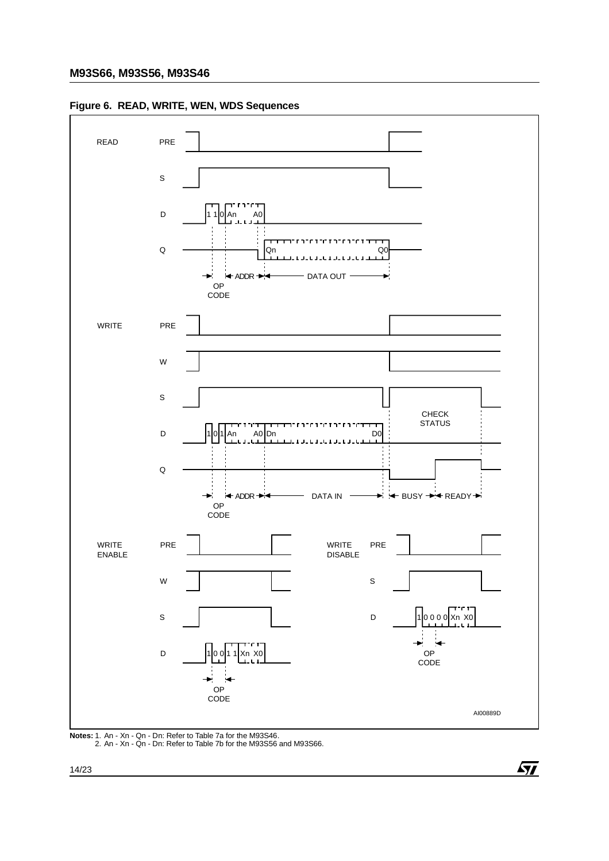



**Notes:** 1. An - Xn - Qn - Dn: Refer to Table 7a for the M93S46. 2. An - Xn - Qn - Dn: Refer to Table 7b for the M93S56 and M93S66.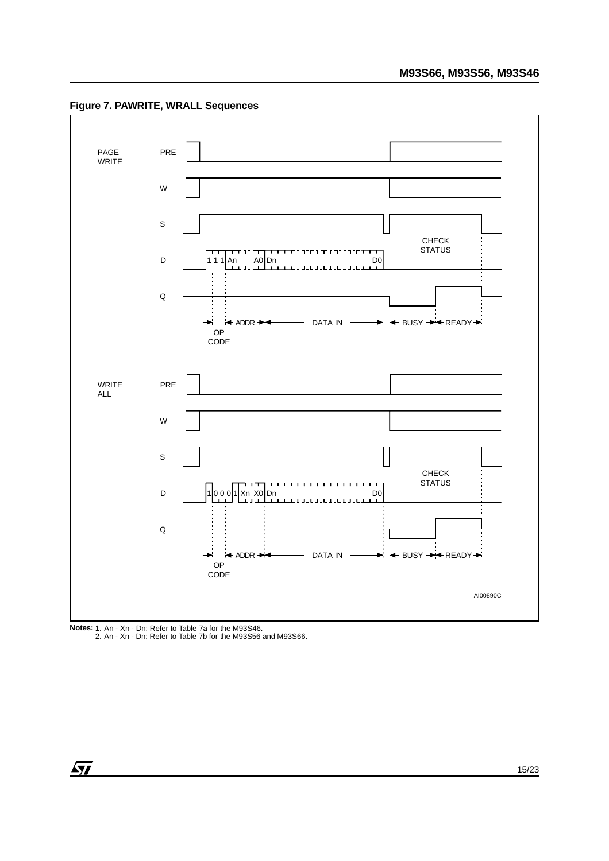**Figure 7. PAWRITE, WRALL Sequences**





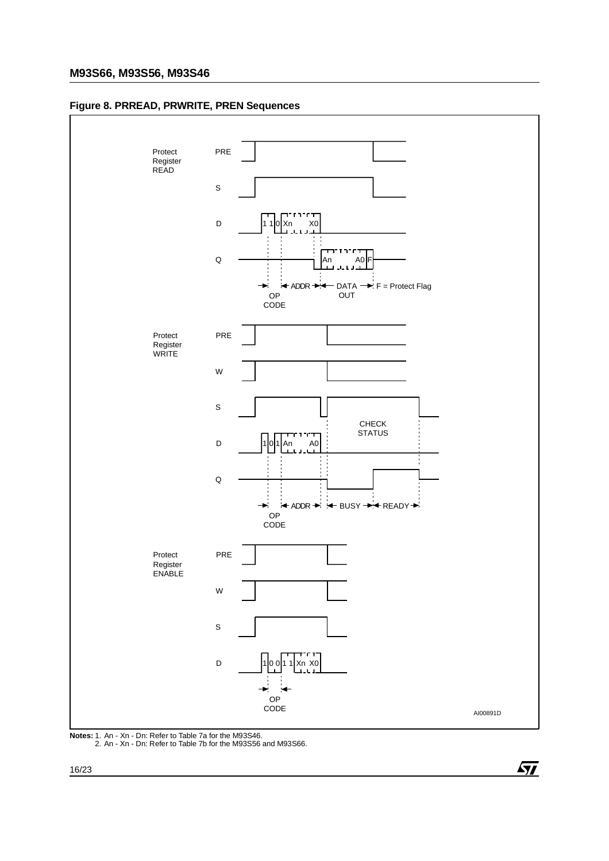# **M93S66, M93S56, M93S46**





 $\sqrt{1}$ 

**Notes:** 1. An - Xn - Dn: Refer to Table 7a for the M93S46. 2. An - Xn - Dn: Refer to Table 7b for the M93S56 and M93S66.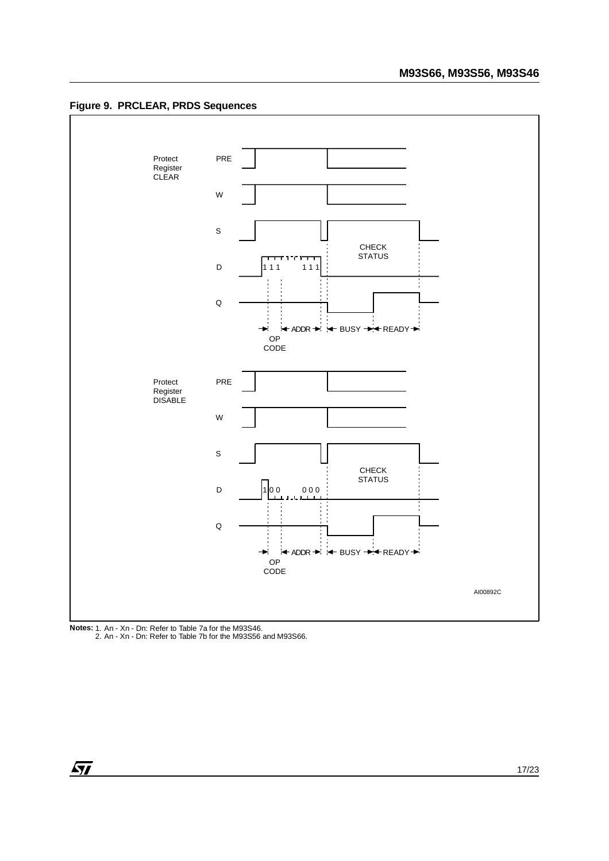



**Notes:** 1. An - Xn - Dn: Refer to Table 7a for the M93S46. 2. An - Xn - Dn: Refer to Table 7b for the M93S56 and M93S66.

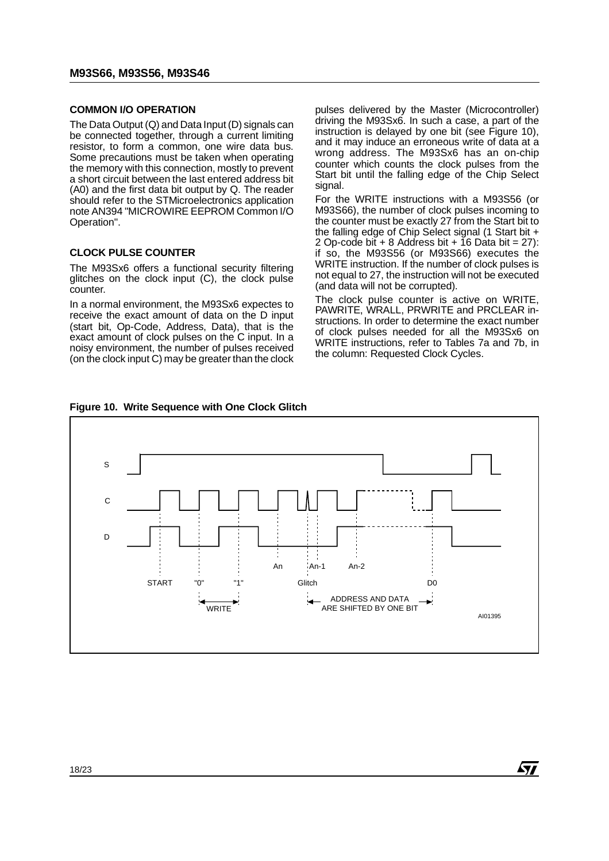#### **COMMON I/O OPERATION**

The Data Output (Q) and Data Input (D) signals can be connected together, through a current limiting resistor, to form a common, one wire data bus. Some precautions must be taken when operating the memory with this connection, mostly to prevent a short circuit between the last entered address bit (A0) and the first data bit output by Q. The reader should refer to the STMicroelectronics application note AN394 "MICROWIRE EEPROM Common I/O Operation".

# **CLOCK PULSE COUNTER**

The M93Sx6 offers a functional security filtering glitches on the clock input (C), the clock pulse counter.

In a normal environment, the M93Sx6 expectes to receive the exact amount of data on the D input (start bit, Op-Code, Address, Data), that is the exact amount of clock pulses on the C input. In a noisy environment, the number of pulses received (on the clock input C) may be greater than the clock

pulses delivered by the Master (Microcontroller) driving the M93Sx6. In such a case, a part of the instruction is delayed by one bit (see Figure 10), and it may induce an erroneous write of data at a wrong address. The M93Sx6 has an on-chip counter which counts the clock pulses from the Start bit until the falling edge of the Chip Select signal.

For the WRITE instructions with a M93S56 (or M93S66), the number of clock pulses incoming to the counter must be exactly 27 from the Start bit to the falling edge of Chip Select signal (1 Start bit + 2 Op-code bit  $+ 8$  Address bit  $+ 16$  Data bit  $= 27$ ): if so, the M93S56 (or M93S66) executes the WRITE instruction. If the number of clock pulses is not equal to 27, the instruction will not be executed (and data will not be corrupted).

The clock pulse counter is active on WRITE, PAWRITE, WRALL, PRWRITE and PRCLEAR instructions. In order to determine the exact number of clock pulses needed for all the M93Sx6 on WRITE instructions, refer to Tables 7a and 7b, in the column: Requested Clock Cycles.

*sti* 



**Figure 10. Write Sequence with One Clock Glitch**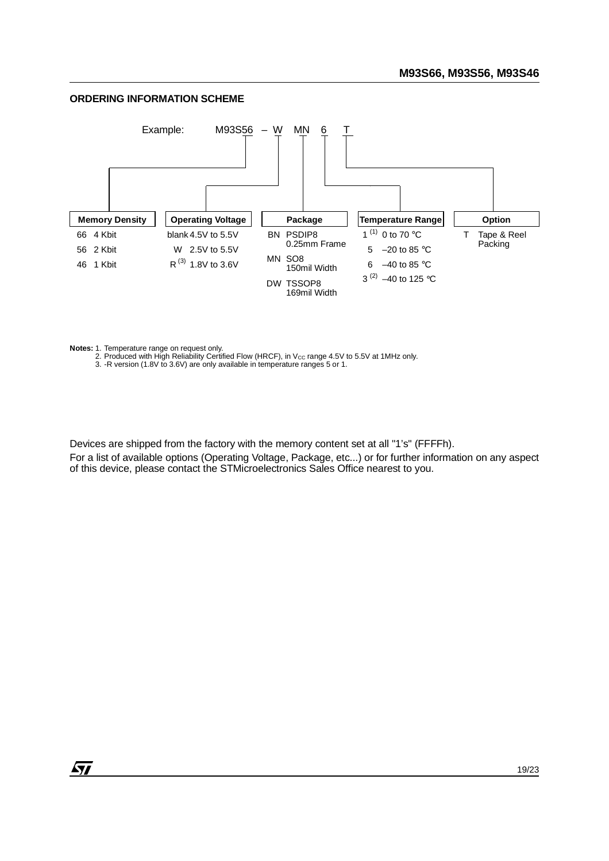# **ORDERING INFORMATION SCHEME**



Notes: 1. Temperature range on request only.<br>2. Produced with High Reliability Certified Flow (HRCF), in V<sub>CC</sub> range 4.5V to 5.5V at 1MHz only.

3. -R version (1.8V to 3.6V) are only available in temperature ranges 5 or 1.

Devices are shipped from the factory with the memory content set at all "1's" (FFFFh).

For a list of available options (Operating Voltage, Package, etc...) or for further information on any aspect of this device, please contact the STMicroelectronics Sales Office nearest to you.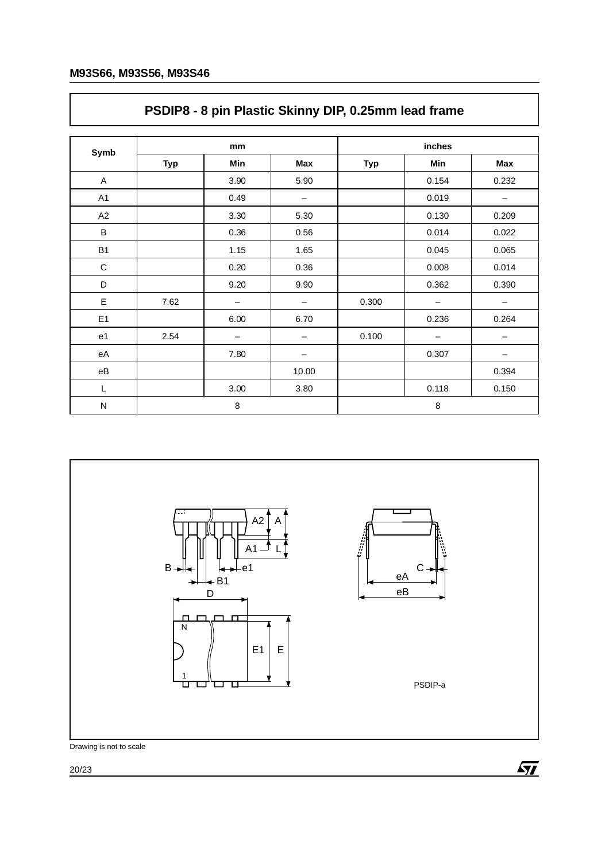|                        |            | <b>1 ODIL 0</b> Optics result of thing Dirty 0.2011.11 ICQUITQUITC |       |            |       |       |  |
|------------------------|------------|--------------------------------------------------------------------|-------|------------|-------|-------|--|
| Symb                   |            | mm                                                                 |       | inches     |       |       |  |
|                        | <b>Typ</b> | Min                                                                | Max   | <b>Typ</b> | Min   | Max   |  |
| A                      |            | 3.90                                                               | 5.90  |            | 0.154 | 0.232 |  |
| A1                     |            | 0.49                                                               | —     |            | 0.019 |       |  |
| A2                     |            | 3.30                                                               | 5.30  |            | 0.130 | 0.209 |  |
| В                      |            | 0.36                                                               | 0.56  |            | 0.014 | 0.022 |  |
| <b>B1</b>              |            | 1.15                                                               | 1.65  |            | 0.045 | 0.065 |  |
| $\mathsf C$            |            | 0.20                                                               | 0.36  |            | 0.008 | 0.014 |  |
| D                      |            | 9.20                                                               | 9.90  |            | 0.362 | 0.390 |  |
| E                      | 7.62       |                                                                    |       | 0.300      |       |       |  |
| E <sub>1</sub>         |            | 6.00                                                               | 6.70  |            | 0.236 | 0.264 |  |
| e <sub>1</sub>         | 2.54       |                                                                    |       | 0.100      |       |       |  |
| eA                     |            | 7.80                                                               | -     |            | 0.307 | -     |  |
| $\mathsf{e}\mathsf{B}$ |            |                                                                    | 10.00 |            |       | 0.394 |  |
| L                      |            | 3.00                                                               | 3.80  |            | 0.118 | 0.150 |  |
| ${\sf N}$              |            | 8                                                                  |       |            | 8     |       |  |

# **PSDIP8 - 8 pin Plastic Skinny DIP, 0.25mm lead frame**



Drawing is not to scale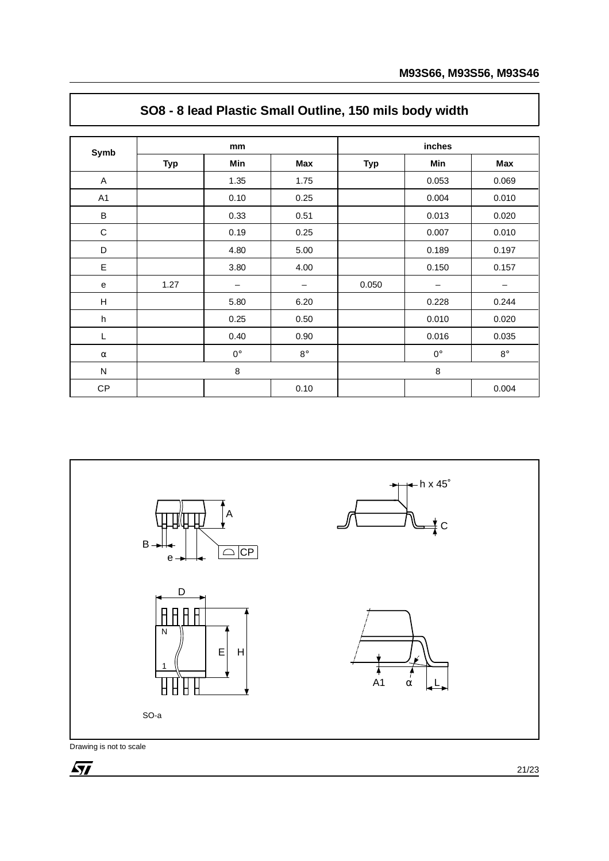| Symb           |            | mm                       |                 | inches     |                   |            |  |  |
|----------------|------------|--------------------------|-----------------|------------|-------------------|------------|--|--|
|                | <b>Typ</b> | Min                      | Max             | <b>Typ</b> | Min               | <b>Max</b> |  |  |
| A              |            | 1.35                     | 1.75            |            | 0.053             | 0.069      |  |  |
| A <sub>1</sub> |            | 0.10                     | 0.25            |            | 0.004             | 0.010      |  |  |
| $\sf B$        |            | 0.33                     | 0.51            |            | 0.013             | 0.020      |  |  |
| $\mathsf C$    |            | 0.19                     | 0.25            |            | 0.007             | 0.010      |  |  |
| D              |            | 4.80                     | 5.00            |            | 0.189             | 0.197      |  |  |
| E              |            | 3.80                     | 4.00            |            | 0.150             | 0.157      |  |  |
| e              | 1.27       | $\overline{\phantom{m}}$ | $\qquad \qquad$ | 0.050      | $\qquad \qquad -$ | —          |  |  |
| $\mathsf H$    |            | 5.80                     | 6.20            |            | 0.228             | 0.244      |  |  |
| h              |            | 0.25                     | 0.50            |            | 0.010             | 0.020      |  |  |
| L              |            | 0.40                     | 0.90            |            | 0.016             | 0.035      |  |  |
| $\alpha$       |            | $0^{\circ}$              | $8^{\circ}$     |            | $0^{\circ}$       | $8^\circ$  |  |  |
| N              |            | $\,8\,$                  |                 |            | 8                 |            |  |  |
| CP             |            |                          | 0.10            |            |                   | 0.004      |  |  |

# **SO8 - 8 lead Plastic Small Outline, 150 mils body width**



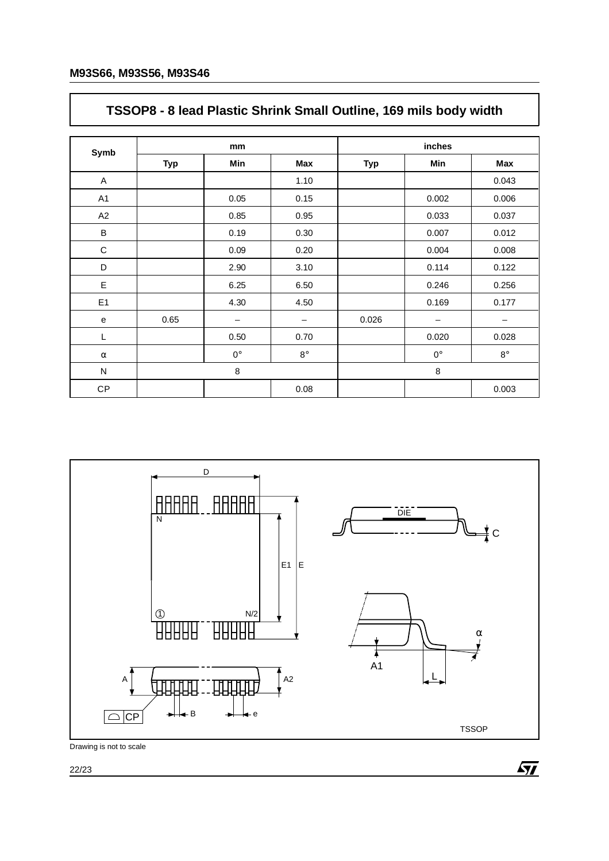# **TSSOP8 - 8 lead Plastic Shrink Small Outline, 169 mils body width**

| Symb           |            | mm          |             | inches     |             |             |  |
|----------------|------------|-------------|-------------|------------|-------------|-------------|--|
|                | <b>Typ</b> | Min         | <b>Max</b>  | <b>Typ</b> | Min         | <b>Max</b>  |  |
| A              |            |             | 1.10        |            |             | 0.043       |  |
| A <sub>1</sub> |            | 0.05        | 0.15        |            | 0.002       | 0.006       |  |
| A <sub>2</sub> |            | 0.85        | 0.95        |            | 0.033       | 0.037       |  |
| $\sf B$        |            | 0.19        | 0.30        |            | 0.007       | 0.012       |  |
| $\mathbf C$    |            | 0.09        | 0.20        |            | 0.004       | 0.008       |  |
| D              |            | 2.90        | 3.10        |            | 0.114       | 0.122       |  |
| E              |            | 6.25        | 6.50        |            | 0.246       | 0.256       |  |
| E <sub>1</sub> |            | 4.30        | 4.50        |            | 0.169       | 0.177       |  |
| ${\bf e}$      | 0.65       | -           | —           | 0.026      | -           | -           |  |
| L              |            | 0.50        | 0.70        |            | 0.020       | 0.028       |  |
| $\alpha$       |            | $0^{\circ}$ | $8^{\circ}$ |            | $0^{\circ}$ | $8^{\circ}$ |  |
| N              |            | 8           |             |            | 8           |             |  |
| CP             |            |             | 0.08        |            |             | 0.003       |  |



Drawing is not to scale